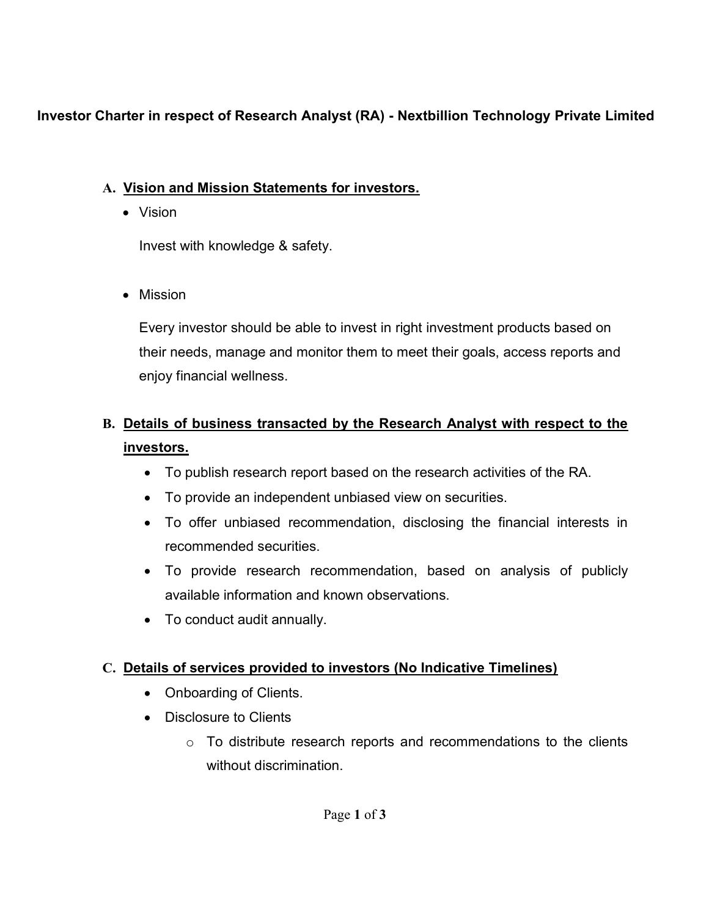## **I**nvestor Charter in respect of Research Analyst (RA) **- Nextbillion Technology Private Limited**

## A. Vision and Mission Statements for investors.

• Vision

Invest with knowledge & safety.

Mission

Every investor should be able to invest in right investment products based on their needs, manage and monitor them to meet their goals, access reports and enjoy financial wellness.

# B. Details of business transacted by the Research Analyst with respect to the investors.

- To publish research report based on the research activities of the RA.
- To provide an independent unbiased view on securities.
- To offer unbiased recommendation, disclosing the financial interests in recommended securities.
- To provide research recommendation, based on analysis of publicly available information and known observations.
- To conduct audit annually.

## C. Details of services provided to investors (No Indicative Timelines)

- Onboarding of Clients.
- Disclosure to Clients
	- $\circ$  To distribute research reports and recommendations to the clients without discrimination.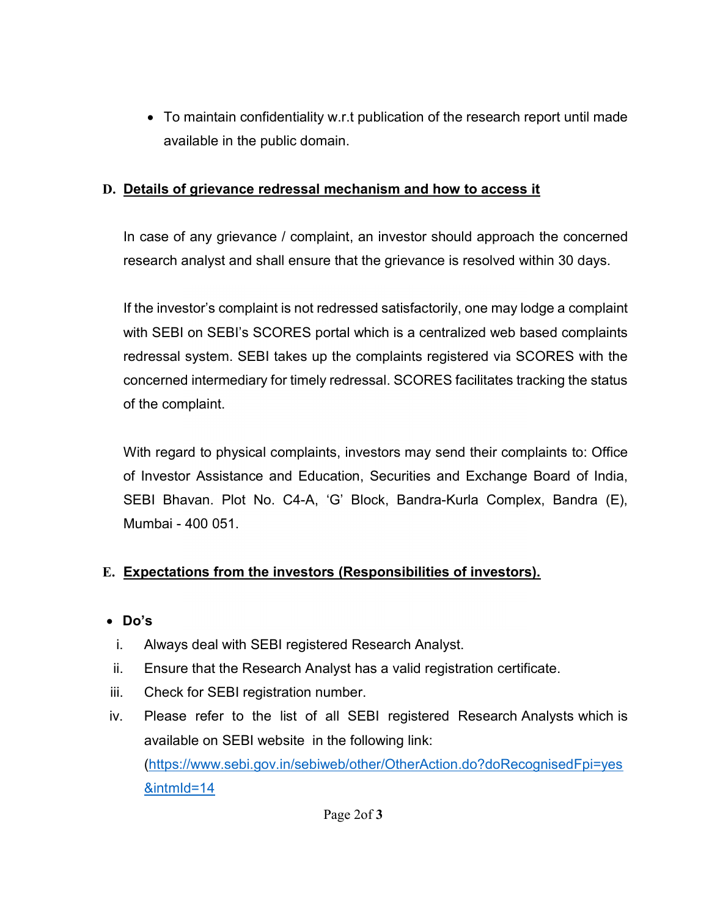To maintain confidentiality w.r.t publication of the research report until made available in the public domain.

### D. Details of grievance redressal mechanism and how to access it

In case of any grievance / complaint, an investor should approach the concerned research analyst and shall ensure that the grievance is resolved within 30 days.

If the investor's complaint is not redressed satisfactorily, one may lodge a complaint with SEBI on SEBI's SCORES portal which is a centralized web based complaints redressal system. SEBI takes up the complaints registered via SCORES with the concerned intermediary for timely redressal. SCORES facilitates tracking the status of the complaint.

With regard to physical complaints, investors may send their complaints to: Office of Investor Assistance and Education, Securities and Exchange Board of India, SEBI Bhavan. Plot No. C4-A, 'G' Block, Bandra-Kurla Complex, Bandra (E), Mumbai - 400 051.

### E. Expectations from the investors (Responsibilities of investors).

- Do's
- i. Always deal with SEBI registered Research Analyst.
- ii. Ensure that the Research Analyst has a valid registration certificate.
- iii. Check for SEBI registration number.
- iv. Please refer to the list of all SEBI registered Research Analysts which is available on SEBI website in the following link: (https://www.sebi.gov.in/sebiweb/other/OtherAction.do?doRecognisedFpi=yes &intmId=14